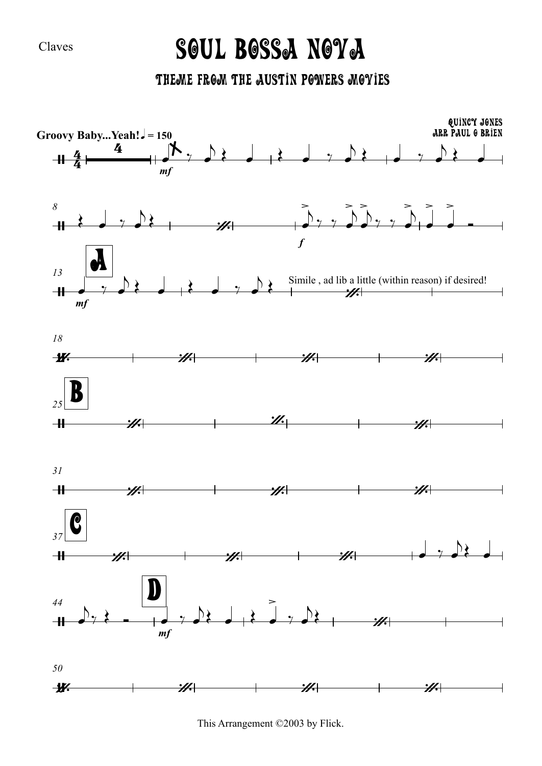Claves

## Soul Bossa Nova

Theme From The Austin Powers Movies



This Arrangement ©2003 by Flick.